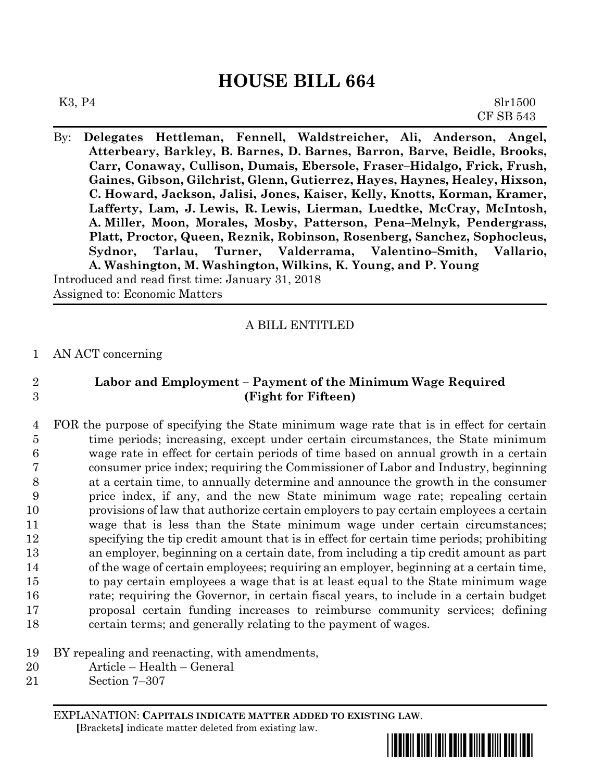# **HOUSE BILL 664**

By: **Delegates Hettleman, Fennell, Waldstreicher, Ali, Anderson, Angel, Atterbeary, Barkley, B. Barnes, D. Barnes, Barron, Barve, Beidle, Brooks, Carr, Conaway, Cullison, Dumais, Ebersole, Fraser–Hidalgo, Frick, Frush, Gaines, Gibson, Gilchrist, Glenn, Gutierrez, Hayes, Haynes, Healey, Hixson, C. Howard, Jackson, Jalisi, Jones, Kaiser, Kelly, Knotts, Korman, Kramer, Lafferty, Lam, J. Lewis, R. Lewis, Lierman, Luedtke, McCray, McIntosh, A. Miller, Moon, Morales, Mosby, Patterson, Pena–Melnyk, Pendergrass, Platt, Proctor, Queen, Reznik, Robinson, Rosenberg, Sanchez, Sophocleus, Sydnor, Tarlau, Turner, Valderrama, Valentino–Smith, Vallario, A. Washington, M. Washington, Wilkins, K. Young, and P. Young**

Introduced and read first time: January 31, 2018 Assigned to: Economic Matters

## A BILL ENTITLED

### 1 AN ACT concerning

# 2 **Labor and Employment – Payment of the Minimum Wage Required** 3 **(Fight for Fifteen)**

- 4 FOR the purpose of specifying the State minimum wage rate that is in effect for certain 5 time periods; increasing, except under certain circumstances, the State minimum 6 wage rate in effect for certain periods of time based on annual growth in a certain 7 consumer price index; requiring the Commissioner of Labor and Industry, beginning 8 at a certain time, to annually determine and announce the growth in the consumer 9 price index, if any, and the new State minimum wage rate; repealing certain 10 provisions of law that authorize certain employers to pay certain employees a certain 11 wage that is less than the State minimum wage under certain circumstances; 12 specifying the tip credit amount that is in effect for certain time periods; prohibiting 13 an employer, beginning on a certain date, from including a tip credit amount as part 14 of the wage of certain employees; requiring an employer, beginning at a certain time, 15 to pay certain employees a wage that is at least equal to the State minimum wage 16 rate; requiring the Governor, in certain fiscal years, to include in a certain budget 17 proposal certain funding increases to reimburse community services; defining 18 certain terms; and generally relating to the payment of wages.
- 19 BY repealing and reenacting, with amendments,
- 20 Article Health General
- 21 Section 7–307

EXPLANATION: **CAPITALS INDICATE MATTER ADDED TO EXISTING LAW**.  **[**Brackets**]** indicate matter deleted from existing law.

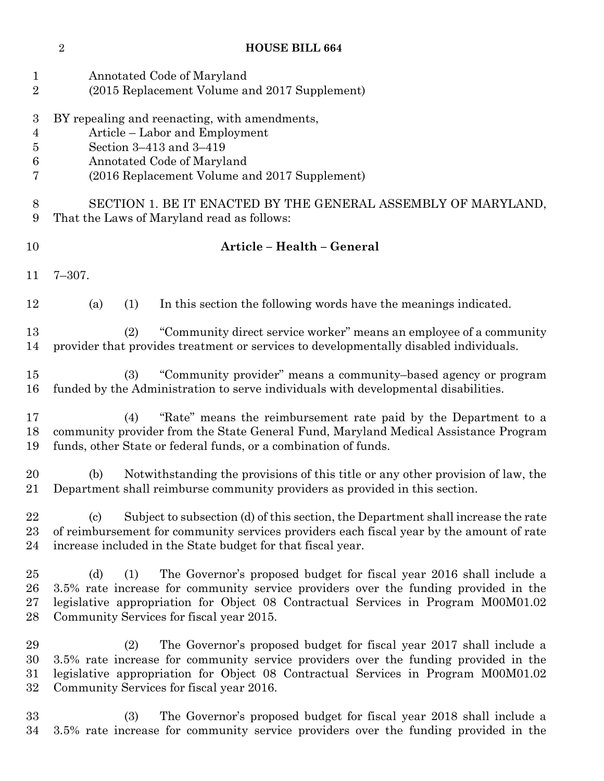| $\mathbf{1}$<br>$\overline{2}$                                 | Annotated Code of Maryland<br>(2015 Replacement Volume and 2017 Supplement)                                                                                                                                                                                                                               |  |  |  |  |  |  |
|----------------------------------------------------------------|-----------------------------------------------------------------------------------------------------------------------------------------------------------------------------------------------------------------------------------------------------------------------------------------------------------|--|--|--|--|--|--|
| $\boldsymbol{3}$<br>$\overline{4}$<br>$\overline{5}$<br>6<br>7 | BY repealing and reenacting, with amendments,<br>Article - Labor and Employment<br>Section 3-413 and 3-419<br>Annotated Code of Maryland<br>(2016 Replacement Volume and 2017 Supplement)                                                                                                                 |  |  |  |  |  |  |
| $8\,$<br>9                                                     | SECTION 1. BE IT ENACTED BY THE GENERAL ASSEMBLY OF MARYLAND,<br>That the Laws of Maryland read as follows:                                                                                                                                                                                               |  |  |  |  |  |  |
| 10                                                             | Article - Health - General                                                                                                                                                                                                                                                                                |  |  |  |  |  |  |
| 11                                                             | $7 - 307.$                                                                                                                                                                                                                                                                                                |  |  |  |  |  |  |
| 12                                                             | In this section the following words have the meanings indicated.<br>(a)<br>(1)                                                                                                                                                                                                                            |  |  |  |  |  |  |
| 13<br>14                                                       | "Community direct service worker" means an employee of a community<br>(2)<br>provider that provides treatment or services to developmentally disabled individuals.                                                                                                                                        |  |  |  |  |  |  |
| 15<br>16                                                       | "Community provider" means a community-based agency or program<br>(3)<br>funded by the Administration to serve individuals with developmental disabilities.                                                                                                                                               |  |  |  |  |  |  |
| 17<br>18<br>19                                                 | "Rate" means the reimbursement rate paid by the Department to a<br>(4)<br>community provider from the State General Fund, Maryland Medical Assistance Program<br>funds, other State or federal funds, or a combination of funds.                                                                          |  |  |  |  |  |  |
| 20<br>21                                                       | Notwithstanding the provisions of this title or any other provision of law, the<br>(b)<br>Department shall reimburse community providers as provided in this section.                                                                                                                                     |  |  |  |  |  |  |
| 22<br>23<br>24                                                 | Subject to subsection (d) of this section, the Department shall increase the rate<br>$\left( \mathrm{c}\right)$<br>of reimbursement for community services providers each fiscal year by the amount of rate<br>increase included in the State budget for that fiscal year.                                |  |  |  |  |  |  |
| 25<br>26<br>27<br>28                                           | The Governor's proposed budget for fiscal year 2016 shall include a<br>(d)<br>(1)<br>3.5% rate increase for community service providers over the funding provided in the<br>legislative appropriation for Object 08 Contractual Services in Program M00M01.02<br>Community Services for fiscal year 2015. |  |  |  |  |  |  |
| 29<br>30<br>31<br>32                                           | The Governor's proposed budget for fiscal year 2017 shall include a<br>(2)<br>3.5% rate increase for community service providers over the funding provided in the<br>legislative appropriation for Object 08 Contractual Services in Program M00M01.02<br>Community Services for fiscal year 2016.        |  |  |  |  |  |  |
| 33<br>34                                                       | The Governor's proposed budget for fiscal year 2018 shall include a<br>(3)<br>3.5% rate increase for community service providers over the funding provided in the                                                                                                                                         |  |  |  |  |  |  |

**HOUSE BILL 664**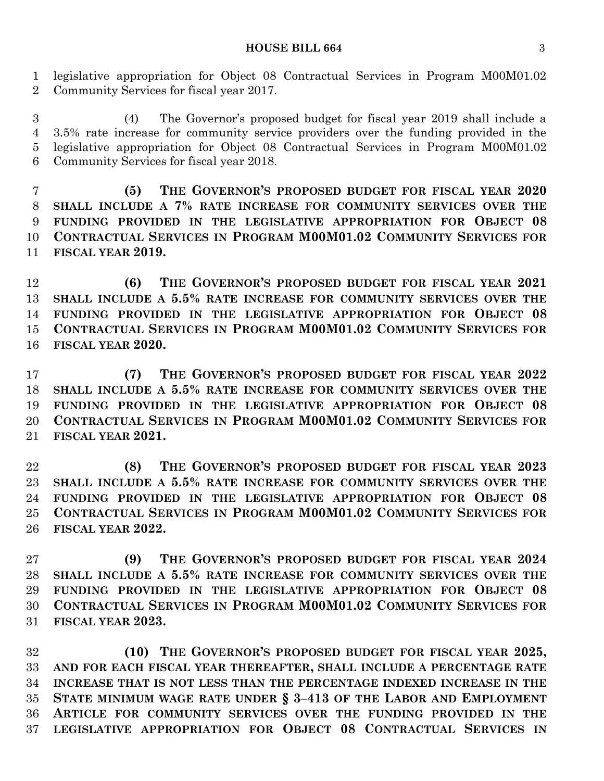#### **HOUSE BILL 664** 3

 legislative appropriation for Object 08 Contractual Services in Program M00M01.02 Community Services for fiscal year 2017.

 (4) The Governor's proposed budget for fiscal year 2019 shall include a 3.5% rate increase for community service providers over the funding provided in the legislative appropriation for Object 08 Contractual Services in Program M00M01.02 Community Services for fiscal year 2018.

 **(5) THE GOVERNOR'S PROPOSED BUDGET FOR FISCAL YEAR 2020 SHALL INCLUDE A 7% RATE INCREASE FOR COMMUNITY SERVICES OVER THE FUNDING PROVIDED IN THE LEGISLATIVE APPROPRIATION FOR OBJECT 08 CONTRACTUAL SERVICES IN PROGRAM M00M01.02 COMMUNITY SERVICES FOR FISCAL YEAR 2019.**

 **(6) THE GOVERNOR'S PROPOSED BUDGET FOR FISCAL YEAR 2021 SHALL INCLUDE A 5.5% RATE INCREASE FOR COMMUNITY SERVICES OVER THE FUNDING PROVIDED IN THE LEGISLATIVE APPROPRIATION FOR OBJECT 08 CONTRACTUAL SERVICES IN PROGRAM M00M01.02 COMMUNITY SERVICES FOR FISCAL YEAR 2020.**

 **(7) THE GOVERNOR'S PROPOSED BUDGET FOR FISCAL YEAR 2022 SHALL INCLUDE A 5.5% RATE INCREASE FOR COMMUNITY SERVICES OVER THE FUNDING PROVIDED IN THE LEGISLATIVE APPROPRIATION FOR OBJECT 08 CONTRACTUAL SERVICES IN PROGRAM M00M01.02 COMMUNITY SERVICES FOR FISCAL YEAR 2021.**

 **(8) THE GOVERNOR'S PROPOSED BUDGET FOR FISCAL YEAR 2023 SHALL INCLUDE A 5.5% RATE INCREASE FOR COMMUNITY SERVICES OVER THE FUNDING PROVIDED IN THE LEGISLATIVE APPROPRIATION FOR OBJECT 08 CONTRACTUAL SERVICES IN PROGRAM M00M01.02 COMMUNITY SERVICES FOR FISCAL YEAR 2022.**

 **(9) THE GOVERNOR'S PROPOSED BUDGET FOR FISCAL YEAR 2024 SHALL INCLUDE A 5.5% RATE INCREASE FOR COMMUNITY SERVICES OVER THE FUNDING PROVIDED IN THE LEGISLATIVE APPROPRIATION FOR OBJECT 08 CONTRACTUAL SERVICES IN PROGRAM M00M01.02 COMMUNITY SERVICES FOR FISCAL YEAR 2023.**

 **(10) THE GOVERNOR'S PROPOSED BUDGET FOR FISCAL YEAR 2025, AND FOR EACH FISCAL YEAR THEREAFTER, SHALL INCLUDE A PERCENTAGE RATE INCREASE THAT IS NOT LESS THAN THE PERCENTAGE INDEXED INCREASE IN THE STATE MINIMUM WAGE RATE UNDER § 3–413 OF THE LABOR AND EMPLOYMENT ARTICLE FOR COMMUNITY SERVICES OVER THE FUNDING PROVIDED IN THE LEGISLATIVE APPROPRIATION FOR OBJECT 08 CONTRACTUAL SERVICES IN**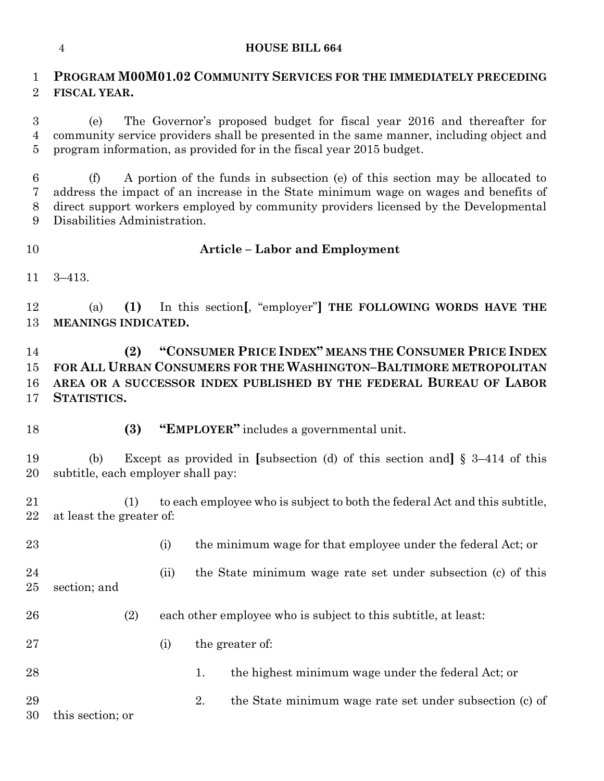### **HOUSE BILL 664**

# **PROGRAM M00M01.02 COMMUNITY SERVICES FOR THE IMMEDIATELY PRECEDING FISCAL YEAR.**

 (e) The Governor's proposed budget for fiscal year 2016 and thereafter for community service providers shall be presented in the same manner, including object and program information, as provided for in the fiscal year 2015 budget.

 (f) A portion of the funds in subsection (e) of this section may be allocated to address the impact of an increase in the State minimum wage on wages and benefits of direct support workers employed by community providers licensed by the Developmental Disabilities Administration.

# **Article – Labor and Employment**

3–413.

 (a) **(1)** In this section**[**, "employer"**] THE FOLLOWING WORDS HAVE THE MEANINGS INDICATED.**

 **(2) "CONSUMER PRICE INDEX" MEANS THE CONSUMER PRICE INDEX FOR ALL URBAN CONSUMERS FOR THE WASHINGTON–BALTIMORE METROPOLITAN AREA OR A SUCCESSOR INDEX PUBLISHED BY THE FEDERAL BUREAU OF LABOR STATISTICS.**

**(3) "EMPLOYER"** includes a governmental unit.

 (b) Except as provided in **[**subsection (d) of this section and**]** § 3–414 of this subtitle, each employer shall pay:

 (1) to each employee who is subject to both the federal Act and this subtitle, at least the greater of:

- 23 (i) the minimum wage for that employee under the federal Act; or
- (ii) the State minimum wage rate set under subsection (c) of this section; and
- (2) each other employee who is subject to this subtitle, at least:
- (i) the greater of:
- 28 1. the highest minimum wage under the federal Act; or
- 29 2. the State minimum wage rate set under subsection (c) of

this section; or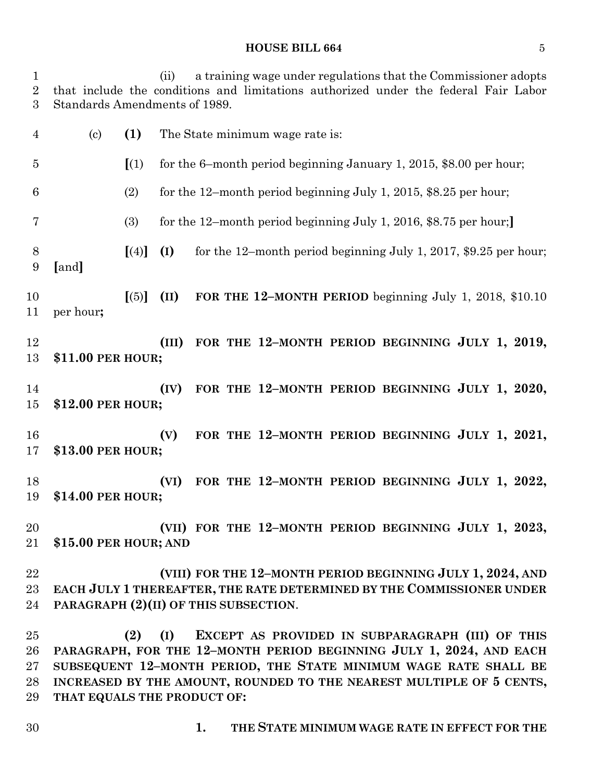#### **HOUSE BILL 664** 5

 (ii) a training wage under regulations that the Commissioner adopts that include the conditions and limitations authorized under the federal Fair Labor Standards Amendments of 1989. (c) **(1)** The State minimum wage rate is:

 **[**(1) for the 6–month period beginning January 1, 2015, \$8.00 per hour; 6 (2) for the 12-month period beginning July 1, 2015, \$8.25 per hour; (3) for the 12–month period beginning July 1, 2016, \$8.75 per hour;**] [**(4)**] (I)** for the 12–month period beginning July 1, 2017, \$9.25 per hour; **[**and**] [**(5)**] (II) FOR THE 12–MONTH PERIOD** beginning July 1, 2018, \$10.10 per hour**; (III) FOR THE 12–MONTH PERIOD BEGINNING JULY 1, 2019, \$11.00 PER HOUR;**

 **(IV) FOR THE 12–MONTH PERIOD BEGINNING JULY 1, 2020, \$12.00 PER HOUR;**

 **(V) FOR THE 12–MONTH PERIOD BEGINNING JULY 1, 2021, \$13.00 PER HOUR;**

 **(VI) FOR THE 12–MONTH PERIOD BEGINNING JULY 1, 2022, \$14.00 PER HOUR;**

 **(VII) FOR THE 12–MONTH PERIOD BEGINNING JULY 1, 2023, \$15.00 PER HOUR; AND**

 **(VIII) FOR THE 12–MONTH PERIOD BEGINNING JULY 1, 2024, AND EACH JULY 1 THEREAFTER, THE RATE DETERMINED BY THE COMMISSIONER UNDER PARAGRAPH (2)(II) OF THIS SUBSECTION**.

 **(2) (I) EXCEPT AS PROVIDED IN SUBPARAGRAPH (III) OF THIS PARAGRAPH, FOR THE 12–MONTH PERIOD BEGINNING JULY 1, 2024, AND EACH SUBSEQUENT 12–MONTH PERIOD, THE STATE MINIMUM WAGE RATE SHALL BE INCREASED BY THE AMOUNT, ROUNDED TO THE NEAREST MULTIPLE OF 5 CENTS, THAT EQUALS THE PRODUCT OF:**

**1. THE STATE MINIMUM WAGE RATE IN EFFECT FOR THE**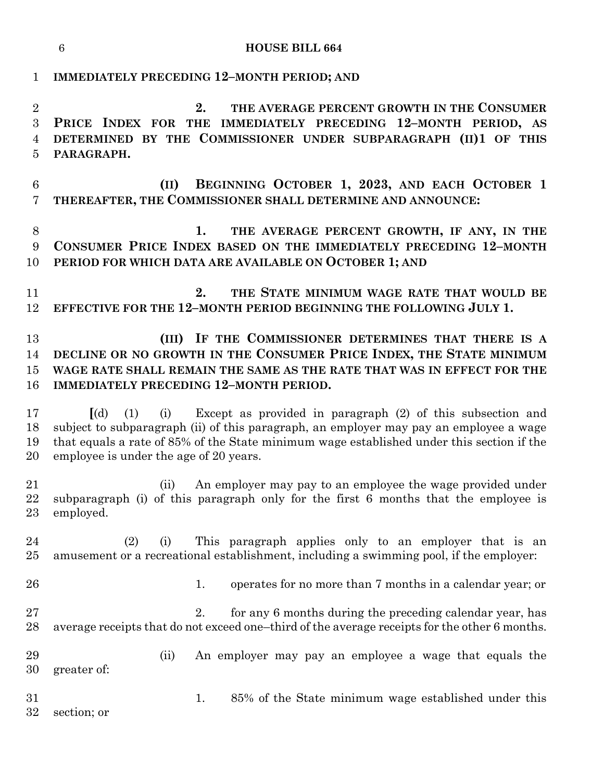|                                            | $6\phantom{1}6$<br><b>HOUSE BILL 664</b>                                                                                                                                                                                                                                                                                  |  |  |  |  |  |  |
|--------------------------------------------|---------------------------------------------------------------------------------------------------------------------------------------------------------------------------------------------------------------------------------------------------------------------------------------------------------------------------|--|--|--|--|--|--|
| $\mathbf{1}$                               | <b>IMMEDIATELY PRECEDING 12-MONTH PERIOD; AND</b>                                                                                                                                                                                                                                                                         |  |  |  |  |  |  |
| $\overline{2}$<br>3<br>$\overline{4}$<br>5 | THE AVERAGE PERCENT GROWTH IN THE CONSUMER<br>2.<br>PRICE INDEX FOR THE IMMEDIATELY PRECEDING 12-MONTH PERIOD, AS<br>DETERMINED BY THE COMMISSIONER UNDER SUBPARAGRAPH (II)1 OF THIS<br>PARAGRAPH.                                                                                                                        |  |  |  |  |  |  |
| $6\phantom{.}6$<br>7                       | BEGINNING OCTOBER 1, 2023, AND EACH OCTOBER 1<br>(II)<br>THEREAFTER, THE COMMISSIONER SHALL DETERMINE AND ANNOUNCE:                                                                                                                                                                                                       |  |  |  |  |  |  |
| 8<br>$\boldsymbol{9}$<br>10                | THE AVERAGE PERCENT GROWTH, IF ANY, IN THE<br>1.<br>CONSUMER PRICE INDEX BASED ON THE IMMEDIATELY PRECEDING 12-MONTH<br>PERIOD FOR WHICH DATA ARE AVAILABLE ON OCTOBER 1; AND                                                                                                                                             |  |  |  |  |  |  |
| 11<br>12                                   | THE STATE MINIMUM WAGE RATE THAT WOULD BE<br>2.<br>EFFECTIVE FOR THE 12-MONTH PERIOD BEGINNING THE FOLLOWING JULY 1.                                                                                                                                                                                                      |  |  |  |  |  |  |
| 13<br>14<br>15<br>16                       | (III) IF THE COMMISSIONER DETERMINES THAT THERE IS A<br>DECLINE OR NO GROWTH IN THE CONSUMER PRICE INDEX, THE STATE MINIMUM<br>WAGE RATE SHALL REMAIN THE SAME AS THE RATE THAT WAS IN EFFECT FOR THE<br><b>IMMEDIATELY PRECEDING 12-MONTH PERIOD.</b>                                                                    |  |  |  |  |  |  |
| 17<br>18<br>19<br>20                       | Except as provided in paragraph (2) of this subsection and<br>$\lceil$ (d)<br>(1)<br>(i)<br>subject to subparagraph (ii) of this paragraph, an employer may pay an employee a wage<br>that equals a rate of 85% of the State minimum wage established under this section if the<br>employee is under the age of 20 years. |  |  |  |  |  |  |
| 21<br>22<br>23                             | (ii) An employer may pay to an employee the wage provided under<br>subparagraph (i) of this paragraph only for the first 6 months that the employee is<br>employed.                                                                                                                                                       |  |  |  |  |  |  |
| $\bf{24}$<br>25                            | This paragraph applies only to an employer that is an<br>(2)<br>(i)<br>amusement or a recreational establishment, including a swimming pool, if the employer:                                                                                                                                                             |  |  |  |  |  |  |
| 26                                         | operates for no more than 7 months in a calendar year; or<br>1.                                                                                                                                                                                                                                                           |  |  |  |  |  |  |
| 27<br>28                                   | 2.<br>for any 6 months during the preceding calendar year, has<br>average receipts that do not exceed one-third of the average receipts for the other 6 months.                                                                                                                                                           |  |  |  |  |  |  |
| 29<br>30                                   | An employer may pay an employee a wage that equals the<br>(ii)<br>greater of:                                                                                                                                                                                                                                             |  |  |  |  |  |  |
| 31<br>32                                   | 85% of the State minimum wage established under this<br>1.<br>section; or                                                                                                                                                                                                                                                 |  |  |  |  |  |  |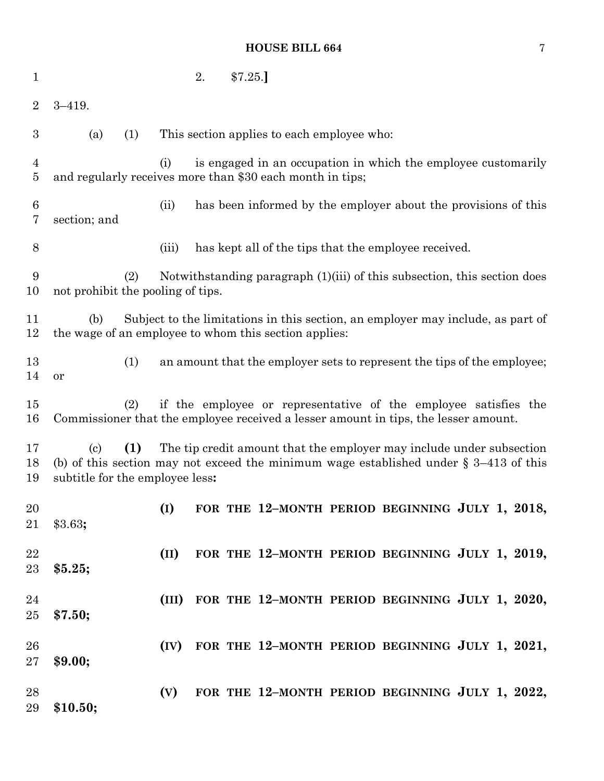# **HOUSE BILL 664** 7

| $\mathbf{1}$     |                                                                                                                                                                                                                                          | 2.                                                                                                                         | \$7.25.]                                              |  |  |  |  |
|------------------|------------------------------------------------------------------------------------------------------------------------------------------------------------------------------------------------------------------------------------------|----------------------------------------------------------------------------------------------------------------------------|-------------------------------------------------------|--|--|--|--|
| $\overline{2}$   | $3 - 419.$                                                                                                                                                                                                                               |                                                                                                                            |                                                       |  |  |  |  |
| $\boldsymbol{3}$ | (a)<br>(1)                                                                                                                                                                                                                               | This section applies to each employee who:                                                                                 |                                                       |  |  |  |  |
| 4<br>5           | (i)                                                                                                                                                                                                                                      | is engaged in an occupation in which the employee customarily<br>and regularly receives more than \$30 each month in tips; |                                                       |  |  |  |  |
| 6<br>7           | section; and                                                                                                                                                                                                                             | has been informed by the employer about the provisions of this<br>(ii)                                                     |                                                       |  |  |  |  |
| 8                | (iii)                                                                                                                                                                                                                                    |                                                                                                                            | has kept all of the tips that the employee received.  |  |  |  |  |
| 9<br>10          | Notwithstanding paragraph $(1)(iii)$ of this subsection, this section does<br>(2)<br>not prohibit the pooling of tips.                                                                                                                   |                                                                                                                            |                                                       |  |  |  |  |
| 11<br>12         | Subject to the limitations in this section, an employer may include, as part of<br>(b)<br>the wage of an employee to whom this section applies:                                                                                          |                                                                                                                            |                                                       |  |  |  |  |
| 13<br>14         | (1)<br>an amount that the employer sets to represent the tips of the employee;<br>or                                                                                                                                                     |                                                                                                                            |                                                       |  |  |  |  |
| 15<br>16         | if the employee or representative of the employee satisfies the<br>(2)<br>Commissioner that the employee received a lesser amount in tips, the lesser amount.                                                                            |                                                                                                                            |                                                       |  |  |  |  |
| 17<br>18<br>19   | (1)<br>The tip credit amount that the employer may include under subsection<br>$\left( \mathrm{c}\right)$<br>(b) of this section may not exceed the minimum wage established under $\S$ 3–413 of this<br>subtitle for the employee less: |                                                                                                                            |                                                       |  |  |  |  |
| 20<br>$21\,$     | (I)<br>\$3.63;                                                                                                                                                                                                                           |                                                                                                                            | FOR THE 12-MONTH PERIOD BEGINNING JULY 1, 2018,       |  |  |  |  |
| 22<br>23         | (II)<br>\$5.25;                                                                                                                                                                                                                          |                                                                                                                            | FOR THE 12-MONTH PERIOD BEGINNING JULY 1, 2019,       |  |  |  |  |
| 24<br>25         | \$7.50;                                                                                                                                                                                                                                  |                                                                                                                            | (III) FOR THE 12-MONTH PERIOD BEGINNING JULY 1, 2020, |  |  |  |  |
| 26<br>$27\,$     | \$9.00;                                                                                                                                                                                                                                  |                                                                                                                            | (IV) FOR THE 12-MONTH PERIOD BEGINNING JULY 1, 2021,  |  |  |  |  |
| 28<br>29         | (V)<br>\$10.50;                                                                                                                                                                                                                          |                                                                                                                            | FOR THE 12-MONTH PERIOD BEGINNING JULY 1, 2022,       |  |  |  |  |
|                  |                                                                                                                                                                                                                                          |                                                                                                                            |                                                       |  |  |  |  |